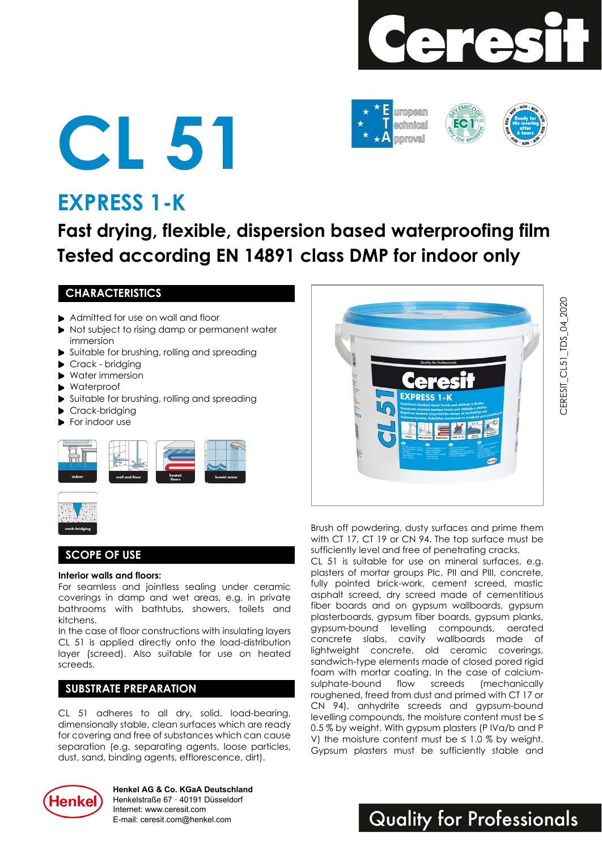





# **EXPRESS 1-K**

# **Fast drying, flexible, dispersion based waterproofing film Tested according EN 14891 class DMP for indoor only**

### **CHARACTERISTICS**

- Admitted for use on wall and floor
- Not subject to rising damp or permanent water immersion
- Suitable for brushing, rolling and spreading
- Crack bridging
- Water immersion
- Waterproof
- Suitable for brushing, rolling and spreading
- Crack-bridging
- For indoor use





### **SCOPE OF USE**

#### **Interior walls and floors:**

For seamless and jointless sealing under ceramic coverings in damp and wet areas, e.g. in private bathrooms with bathtubs, showers, toilets and kitchens.

In the case of floor constructions with insulating layers CL 51 is applied directly onto the load-distribution layer (screed). Also suitable for use on heated screeds.

### **SUBSTRATE PREPARATION**

CL 51 adheres to all dry, solid, load-bearing, dimensionally stable, clean surfaces which are ready for covering and free of substances which can cause separation (e.g. separating agents, loose particles, dust, sand, binding agents, efflorescence, dirt).



Brush off powdering, dusty surfaces and prime them with CT 17, CT 19 or CN 94. The top surface must be sufficiently level and free of penetrating cracks.

CL 51 is suitable for use on mineral surfaces, e.g. plasters of mortar groups PIc, PII and PIII, concrete, fully pointed brick-work, cement screed, mastic asphalt screed, dry screed made of cementitious fiber boards and on gypsum wallboards, gypsum plasterboards, gypsum fiber boards, gypsum planks, gypsum-bound levelling compounds, aerated concrete slabs, cavity wallboards made of lightweight concrete, old ceramic coverings, sandwich-type elements made of closed pored rigid foam with mortar coating. In the case of calciumsulphate-bound flow screeds (mechanically roughened, freed from dust and primed with CT 17 or CN 94), anhydrite screeds and gypsum-bound levelling compounds, the moisture content must be ≤ 0.5 % by weight. With gypsum plasters (P IVa/b and P V) the moisture content must be  $\leq 1.0$  % by weight. Gypsum plasters must be sufficiently stable and



**Henkel AG & Co. KGaA Deutschland** Henkelstraße 67 · 40191 Düsseldorf Internet: www.ceresit.com E-mail: ceresit.com@henkel.com

## **Quality for Professionals**

CERESIT\_CL51\_TDS\_04 \_ 2020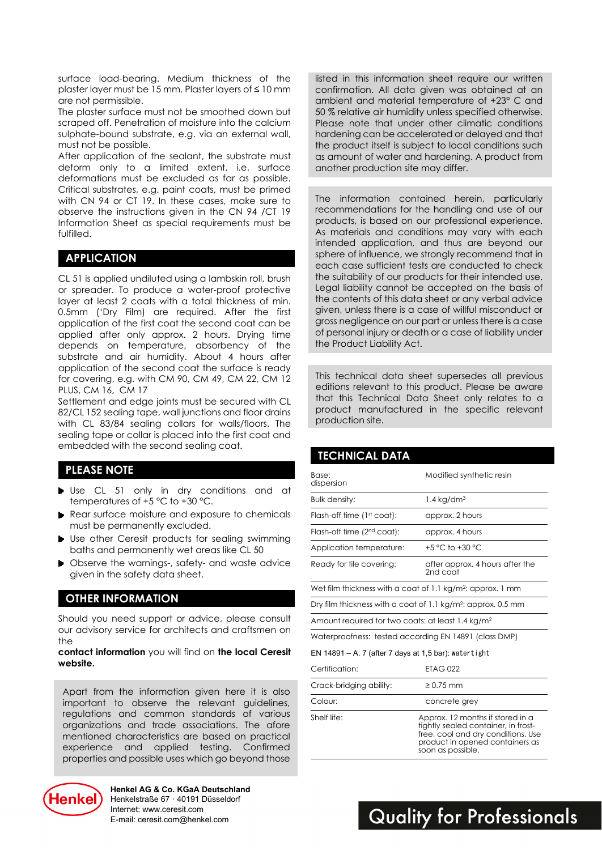surface load-bearing. Medium thickness of the plaster layer must be 15 mm. Plaster layers of ≤ 10 mm are not permissible.

The plaster surface must not be smoothed down but scraped off. Penetration of moisture into the calcium sulphate-bound substrate, e.g. via an external wall, must not be possible.

After application of the sealant, the substrate must deform only to a limited extent, i.e. surface deformations must be excluded as far as possible. Critical substrates, e.g. paint coats, must be primed with CN 94 or CT 19. In these cases, make sure to observe the instructions given in the CN 94 /CT 19 Information Sheet as special requirements must be fulfilled.

#### **APPLICATION**

CL 51 is applied undiluted using a lambskin roll, brush or spreader. To produce a water-proof protective layer at least 2 coats with a total thickness of min. 0.5mm ('Dry Film) are required. After the first application of the first coat the second coat can be applied after only approx. 2 hours. Drying time depends on temperature, absorbency of the substrate and air humidity. About 4 hours after application of the second coat the surface is ready for covering, e.g. with CM 90, CM 49, CM 22, CM 12 PLUS, CM 16, CM 17

Settlement and edge joints must be secured with CL 82/CL 152 sealing tape, wall junctions and floor drains with CL 83/84 sealing collars for walls/floors. The sealing tape or collar is placed into the first coat and embedded with the second sealing coat.

#### **PLEASE NOTE**

- Use CL 51 only in dry conditions and at temperatures of +5 °C to +30 °C.
- ▶ Rear surface moisture and exposure to chemicals must be permanently excluded.
- Use other Ceresit products for sealing swimming baths and permanently wet areas like CL 50
- ▶ Observe the warnings-, safety- and waste advice given in the safety data sheet.

#### **OTHER INFORMATION**

Should you need support or advice, please consult our advisory service for architects and craftsmen on the

**contact information** you will find on **the local Ceresit website.** 

Apart from the information given here it is also important to observe the relevant guidelines, regulations and common standards of various organizations and trade associations. The afore mentioned characteristics are based on practical experience and applied testing. Confirmed properties and possible uses which go beyond those



**Henkel AG & Co. KGaA Deutschland** Henkelstraße 67 · 40191 Düsseldorf Internet: www.ceresit.com E-mail: ceresit.com@henkel.com

listed in this information sheet require our written confirmation. All data given was obtained at an ambient and material temperature of +23° C and 50 % relative air humidity unless specified otherwise. Please note that under other climatic conditions hardening can be accelerated or delayed and that the product itself is subject to local conditions such as amount of water and hardening. A product from another production site may differ.

The information contained herein, particularly recommendations for the handling and use of our products, is based on our professional experience. As materials and conditions may vary with each intended application, and thus are beyond our sphere of influence, we strongly recommend that in each case sufficient tests are conducted to check the suitability of our products for their intended use. Legal liability cannot be accepted on the basis of the contents of this data sheet or any verbal advice given, unless there is a case of willful misconduct or gross negligence on our part or unless there is a case of personal injury or death or a case of liability under the Product Liability Act.

This technical data sheet supersedes all previous editions relevant to this product. Please be aware that this Technical Data Sheet only relates to a product manufactured in the specific relevant production site.

| <b>TECHNICAL DATA</b>                                                    |                                                                                                              |
|--------------------------------------------------------------------------|--------------------------------------------------------------------------------------------------------------|
| Base:<br>dispersion                                                      | Modified synthetic resin                                                                                     |
| <b>Bulk density:</b>                                                     | $1.4$ kg/dm <sup>3</sup>                                                                                     |
| Flash-off time (1st coat):                                               | approx. 2 hours                                                                                              |
| Flash-off time (2 <sup>nd</sup> coat):                                   | approx. 4 hours                                                                                              |
| Application temperature:                                                 | +5 °C to +30 °C                                                                                              |
| Ready for tile covering:                                                 | after approx. 4 hours after the<br>2nd coat                                                                  |
| Wet film thickness with a coat of 1.1 kg/m <sup>2</sup> : approx. 1 mm   |                                                                                                              |
| Dry film thickness with a coat of 1.1 kg/m <sup>2</sup> : approx. 0.5 mm |                                                                                                              |
| Amount required for two coats: at least 1.4 kg/m <sup>2</sup>            |                                                                                                              |
| Waterproofness: tested according EN 14891 (class DMP)                    |                                                                                                              |
| EN 14891 – A. 7 (after 7 days at 1,5 bar): watertight                    |                                                                                                              |
| Certification:                                                           | <b>ETAG 022</b>                                                                                              |
| Crack-bridging ability:                                                  | $\geq 0.75$ mm                                                                                               |
| Colour:                                                                  | concrete grey                                                                                                |
| Shelf life:                                                              | Approx. 12 months if stored in a<br>tightly sealed container, in frost-<br>free cool and dry conditions. Use |

free, cool and dry conditions. Use product in opened containers as soon as possible.

## **Quality for Professionals**